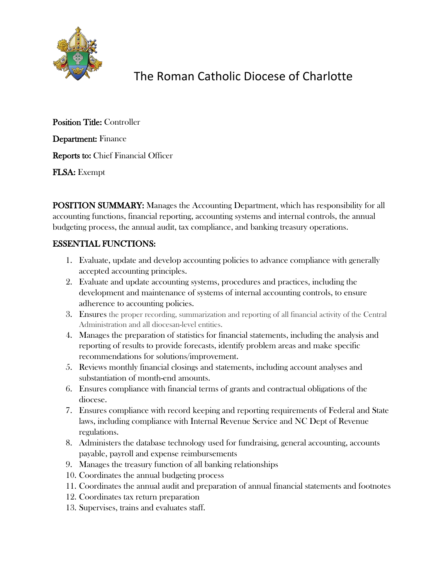

# The Roman Catholic Diocese of Charlotte

Position Title: Controller Department: Finance Reports to: Chief Financial Officer FLSA: Exempt

POSITION SUMMARY: Manages the Accounting Department, which has responsibility for all accounting functions, financial reporting, accounting systems and internal controls, the annual budgeting process, the annual audit, tax compliance, and banking treasury operations.

### ESSENTIAL FUNCTIONS:

- 1. Evaluate, update and develop accounting policies to advance compliance with generally accepted accounting principles.
- 2. Evaluate and update accounting systems, procedures and practices, including the development and maintenance of systems of internal accounting controls, to ensure adherence to accounting policies.
- 3. Ensures the proper recording, summarization and reporting of all financial activity of the Central Administration and all diocesan-level entities.
- 4. Manages the preparation of statistics for financial statements, including the analysis and reporting of results to provide forecasts, identify problem areas and make specific recommendations for solutions/improvement.
- 5. Reviews monthly financial closings and statements, including account analyses and substantiation of month-end amounts.
- 6. Ensures compliance with financial terms of grants and contractual obligations of the diocese.
- 7. Ensures compliance with record keeping and reporting requirements of Federal and State laws, including compliance with Internal Revenue Service and NC Dept of Revenue regulations.
- 8. Administers the database technology used for fundraising, general accounting, accounts payable, payroll and expense reimbursements
- 9. Manages the treasury function of all banking relationships
- 10. Coordinates the annual budgeting process
- 11. Coordinates the annual audit and preparation of annual financial statements and footnotes
- 12. Coordinates tax return preparation
- 13. Supervises, trains and evaluates staff.